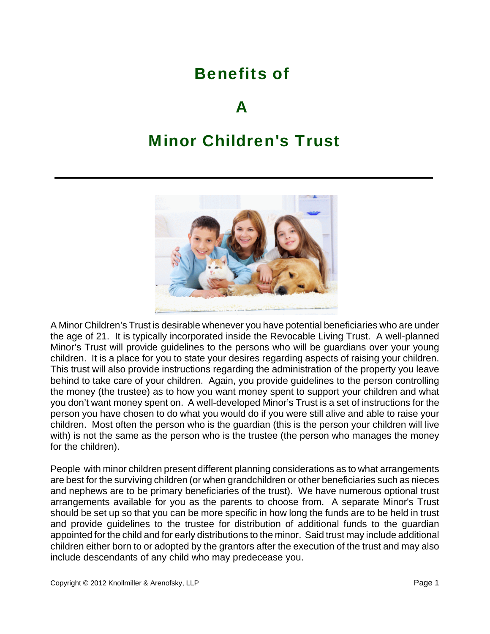# Benefits of

## $\boldsymbol{\Delta}$

## Minor Children's Trust



A Minor Children's Trust is desirable whenever you have potential beneficiaries who are under the age of 21. It is typically incorporated inside the Revocable Living Trust. A well-planned Minor's Trust will provide guidelines to the persons who will be guardians over your young children. It is a place for you to state your desires regarding aspects of raising your children. This trust will also provide instructions regarding the administration of the property you leave behind to take care of your children. Again, you provide guidelines to the person controlling the money (the trustee) as to how you want money spent to support your children and what you don't want money spent on. A well-developed Minor's Trust is a set of instructions for the person you have chosen to do what you would do if you were still alive and able to raise your children. Most often the person who is the guardian (this is the person your children will live with) is not the same as the person who is the trustee (the person who manages the money for the children).

People with minor children present different planning considerations as to what arrangements are best for the surviving children (or when grandchildren or other beneficiaries such as nieces and nephews are to be primary beneficiaries of the trust). We have numerous optional trust arrangements available for you as the parents to choose from. A separate Minor's Trust should be set up so that you can be more specific in how long the funds are to be held in trust and provide guidelines to the trustee for distribution of additional funds to the guardian appointed for the child and for early distributions to the minor. Said trust may include additional children either born to or adopted by the grantors after the execution of the trust and may also include descendants of any child who may predecease you.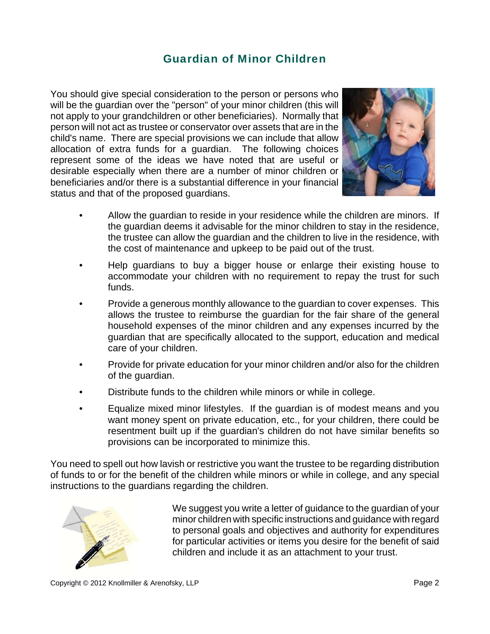#### Guardian of Minor Children

You should give special consideration to the person or persons who will be the guardian over the "person" of your minor children (this will not apply to your grandchildren or other beneficiaries). Normally that person will not act as trustee or conservator over assets that are in the child's name. There are special provisions we can include that allow allocation of extra funds for a guardian. The following choices represent some of the ideas we have noted that are useful or desirable especially when there are a number of minor children or beneficiaries and/or there is a substantial difference in your financial status and that of the proposed guardians.



- Allow the guardian to reside in your residence while the children are minors. If the guardian deems it advisable for the minor children to stay in the residence, the trustee can allow the guardian and the children to live in the residence, with the cost of maintenance and upkeep to be paid out of the trust.
- Help guardians to buy a bigger house or enlarge their existing house to accommodate your children with no requirement to repay the trust for such funds.
- Provide a generous monthly allowance to the guardian to cover expenses. This allows the trustee to reimburse the guardian for the fair share of the general household expenses of the minor children and any expenses incurred by the guardian that are specifically allocated to the support, education and medical care of your children.
- Provide for private education for your minor children and/or also for the children of the guardian.
- Distribute funds to the children while minors or while in college.
- Equalize mixed minor lifestyles. If the guardian is of modest means and you want money spent on private education, etc., for your children, there could be resentment built up if the guardian's children do not have similar benefits so provisions can be incorporated to minimize this.

You need to spell out how lavish or restrictive you want the trustee to be regarding distribution of funds to or for the benefit of the children while minors or while in college, and any special instructions to the guardians regarding the children.



We suggest you write a letter of guidance to the guardian of your minor children with specific instructions and guidance with regard to personal goals and objectives and authority for expenditures for particular activities or items you desire for the benefit of said children and include it as an attachment to your trust.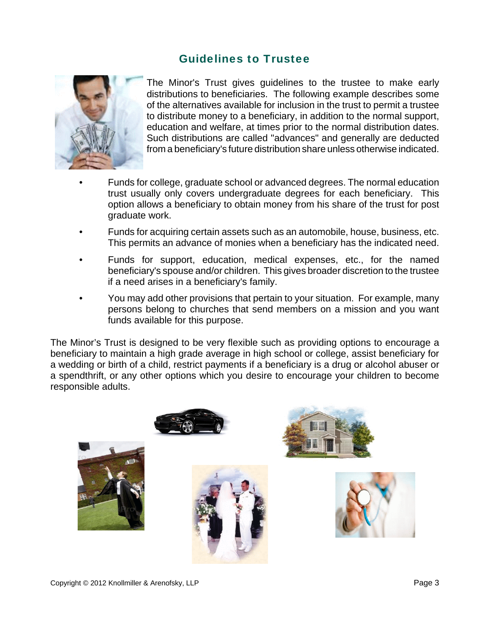#### Guidelines to Trustee



The Minor's Trust gives guidelines to the trustee to make early distributions to beneficiaries. The following example describes some of the alternatives available for inclusion in the trust to permit a trustee to distribute money to a beneficiary, in addition to the normal support, education and welfare, at times prior to the normal distribution dates. Such distributions are called "advances" and generally are deducted from a beneficiary's future distribution share unless otherwise indicated.

- Funds for college, graduate school or advanced degrees. The normal education trust usually only covers undergraduate degrees for each beneficiary. This option allows a beneficiary to obtain money from his share of the trust for post graduate work.
- Funds for acquiring certain assets such as an automobile, house, business, etc. This permits an advance of monies when a beneficiary has the indicated need.
- Funds for support, education, medical expenses, etc., for the named beneficiary's spouse and/or children. This gives broader discretion to the trustee if a need arises in a beneficiary's family.
- You may add other provisions that pertain to your situation. For example, many persons belong to churches that send members on a mission and you want funds available for this purpose.

The Minor's Trust is designed to be very flexible such as providing options to encourage a beneficiary to maintain a high grade average in high school or college, assist beneficiary for a wedding or birth of a child, restrict payments if a beneficiary is a drug or alcohol abuser or a spendthrift, or any other options which you desire to encourage your children to become responsible adults.

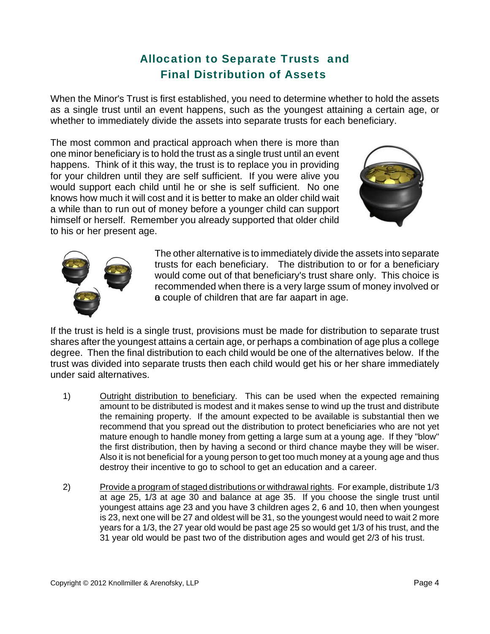### Allocation to Separate Trusts and Final Distribution of Assets

When the Minor's Trust is first established, you need to determine whether to hold the assets as a single trust until an event happens, such as the youngest attaining a certain age, or whether to immediately divide the assets into separate trusts for each beneficiary.

The most common and practical approach when there is more than one minor beneficiary is to hold the trust as a single trust until an event happens. Think of it this way, the trust is to replace you in providing for your children until they are self sufficient. If you were alive you would support each child until he or she is self sufficient. No one knows how much it will cost and it is better to make an older child wait a while than to run out of money before a younger child can support himself or herself. Remember you already supported that older child to his or her present age.





The other alternative is to immediately divide the assets into separate trusts for each beneficiary. The distribution to or for a beneficiary would come out of that beneficiary's trust share only. This choice is recommended when there is a very large ssum of money involved or a couple of children that are far aapart in age.

If the trust is held is a single trust, provisions must be made for distribution to separate trust shares after the youngest attains a certain age, or perhaps a combination of age plus a college degree. Then the final distribution to each child would be one of the alternatives below. If the trust was divided into separate trusts then each child would get his or her share immediately under said alternatives.

- 1) Outright distribution to beneficiary. This can be used when the expected remaining amount to be distributed is modest and it makes sense to wind up the trust and distribute the remaining property. If the amount expected to be available is substantial then we recommend that you spread out the distribution to protect beneficiaries who are not yet mature enough to handle money from getting a large sum at a young age. If they "blow" the first distribution, then by having a second or third chance maybe they will be wiser. Also it is not beneficial for a young person to get too much money at a young age and thus destroy their incentive to go to school to get an education and a career.
- 2) Provide a program of staged distributions or withdrawal rights. For example, distribute 1/3 at age 25, 1/3 at age 30 and balance at age 35. If you choose the single trust until youngest attains age 23 and you have 3 children ages 2, 6 and 10, then when youngest is 23, next one will be 27 and oldest will be 31, so the youngest would need to wait 2 more years for a 1/3, the 27 year old would be past age 25 so would get 1/3 of his trust, and the 31 year old would be past two of the distribution ages and would get 2/3 of his trust.